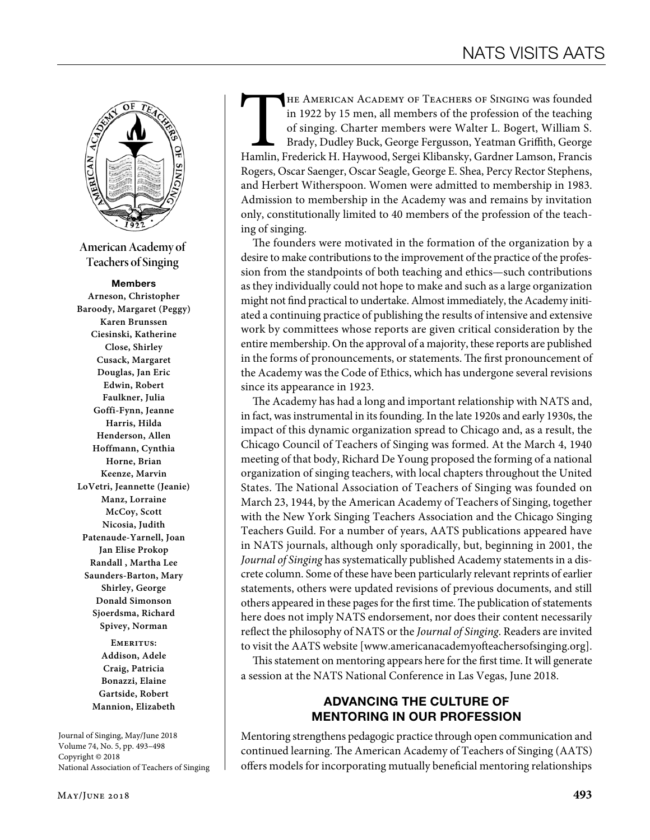

**American Academy of Teachers of Singing**

#### Members

**Arneson, Christopher Baroody, Margaret (Peggy) Karen Brunssen Ciesinski, Katherine Close, Shirley Cusack, Margaret Douglas, Jan Eric Edwin, Robert Faulkner, Julia Goffi-Fynn, Jeanne Harris, Hilda Henderson, Allen Hoffmann, Cynthia Horne, Brian Keenze, Marvin LoVetri, Jeannette (Jeanie) Manz, Lorraine McCoy, Scott Nicosia, Judith Patenaude-Yarnell, Joan Jan Elise Prokop Randall , Martha Lee Saunders-Barton, Mary Shirley, George Donald Simonson Sjoerdsma, Richard Spivey, Norman**

> **Emeritus: Addison, Adele Craig, Patricia Bonazzi, Elaine Gartside, Robert Mannion, Elizabeth**

Journal of Singing, May/June 2018 Volume 74, No. 5, pp. 493–498 Copyright © 2018 National Association of Teachers of Singing THE AMERICAN ACADEMY OF TEACHERS OF SINGING was founded in 1922 by 15 men, all members of the profession of the teaching of singing. Charter members were Walter L. Bogert, William S. Brady, Dudley Buck, George Fergusson, Y in 1922 by 15 men, all members of the profession of the teaching of singing. Charter members were Walter L. Bogert, William S. Brady, Dudley Buck, George Fergusson, Yeatman Griffith, George Rogers, Oscar Saenger, Oscar Seagle, George E. Shea, Percy Rector Stephens, and Herbert Witherspoon. Women were admitted to membership in 1983. Admission to membership in the Academy was and remains by invitation only, constitutionally limited to 40 members of the profession of the teaching of singing.

The founders were motivated in the formation of the organization by a desire to make contributions to the improvement of the practice of the profession from the standpoints of both teaching and ethics—such contributions as they individually could not hope to make and such as a large organization might not find practical to undertake. Almost immediately, the Academy initiated a continuing practice of publishing the results of intensive and extensive work by committees whose reports are given critical consideration by the entire membership. On the approval of a majority, these reports are published in the forms of pronouncements, or statements. The first pronouncement of the Academy was the Code of Ethics, which has undergone several revisions since its appearance in 1923.

The Academy has had a long and important relationship with NATS and, in fact, was instrumental in its founding. In the late 1920s and early 1930s, the impact of this dynamic organization spread to Chicago and, as a result, the Chicago Council of Teachers of Singing was formed. At the March 4, 1940 meeting of that body, Richard De Young proposed the forming of a national organization of singing teachers, with local chapters throughout the United States. The National Association of Teachers of Singing was founded on March 23, 1944, by the American Academy of Teachers of Singing, together with the New York Singing Teachers Association and the Chicago Singing Teachers Guild. For a number of years, AATS publications appeared have in NATS journals, although only sporadically, but, beginning in 2001, the *Journal of Singing* has systematically published Academy statements in a discrete column. Some of these have been particularly relevant reprints of earlier statements, others were updated revisions of previous documents, and still others appeared in these pages for the first time. The publication of statements here does not imply NATS endorsement, nor does their content necessarily reflect the philosophy of NATS or the *Journal of Singing*. Readers are invited to visit the AATS website [www.americanacademyofteachersofsinging.org].

This statement on mentoring appears here for the first time. It will generate a session at the NATS National Conference in Las Vegas, June 2018.

# ADVANCING THE CULTURE OF MENTORING IN OUR PROFESSION

Mentoring strengthens pedagogic practice through open communication and continued learning. The American Academy of Teachers of Singing (AATS) offers models for incorporating mutually beneficial mentoring relationships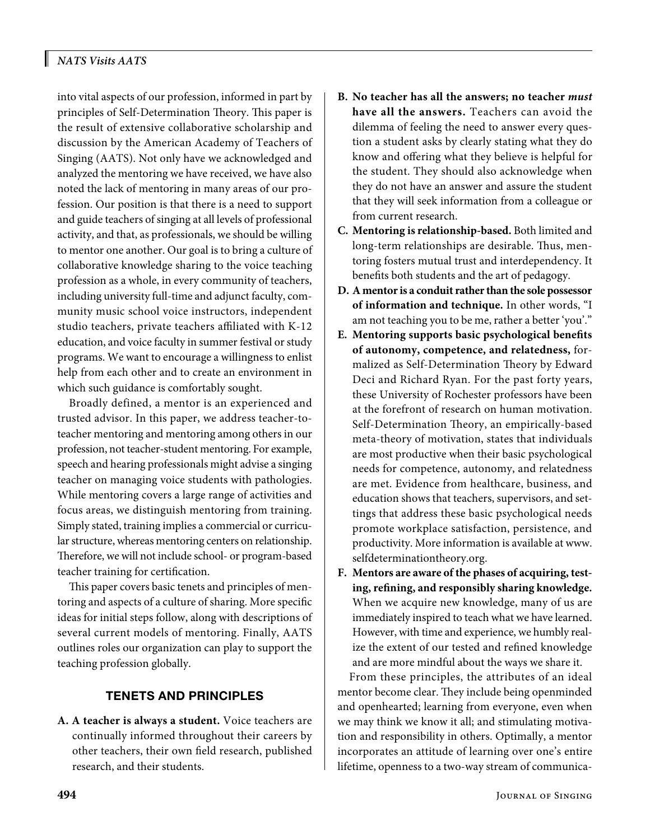# *NATS Visits AATS*

into vital aspects of our profession, informed in part by principles of Self-Determination Theory. This paper is the result of extensive collaborative scholarship and discussion by the American Academy of Teachers of Singing (AATS). Not only have we acknowledged and analyzed the mentoring we have received, we have also noted the lack of mentoring in many areas of our profession. Our position is that there is a need to support and guide teachers of singing at all levels of professional activity, and that, as professionals, we should be willing to mentor one another. Our goal is to bring a culture of collaborative knowledge sharing to the voice teaching profession as a whole, in every community of teachers, including university full-time and adjunct faculty, community music school voice instructors, independent studio teachers, private teachers affiliated with K-12 education, and voice faculty in summer festival or study programs. We want to encourage a willingness to enlist help from each other and to create an environment in which such guidance is comfortably sought.

Broadly defined, a mentor is an experienced and trusted advisor. In this paper, we address teacher-toteacher mentoring and mentoring among others in our profession, not teacher-student mentoring. For example, speech and hearing professionals might advise a singing teacher on managing voice students with pathologies. While mentoring covers a large range of activities and focus areas, we distinguish mentoring from training. Simply stated, training implies a commercial or curricular structure, whereas mentoring centers on relationship. Therefore, we will not include school- or program-based teacher training for certification.

This paper covers basic tenets and principles of mentoring and aspects of a culture of sharing. More specific ideas for initial steps follow, along with descriptions of several current models of mentoring. Finally, AATS outlines roles our organization can play to support the teaching profession globally.

# TENETS AND PRINCIPLES

**A. A teacher is always a student.** Voice teachers are continually informed throughout their careers by other teachers, their own field research, published research, and their students.

- **B. No teacher has all the answers; no teacher** *must* **have all the answers.** Teachers can avoid the dilemma of feeling the need to answer every question a student asks by clearly stating what they do know and offering what they believe is helpful for the student. They should also acknowledge when they do not have an answer and assure the student that they will seek information from a colleague or from current research.
- **C. Mentoring is relationship-based.** Both limited and long-term relationships are desirable. Thus, mentoring fosters mutual trust and interdependency. It benefits both students and the art of pedagogy.
- **D. A mentor is a conduit rather than the sole possessor of information and technique.** In other words, "I am not teaching you to be me, rather a better 'you'."
- **E. Mentoring supports basic psychological benefits of autonomy, competence, and relatedness,** formalized as Self-Determination Theory by Edward Deci and Richard Ryan. For the past forty years, these University of Rochester professors have been at the forefront of research on human motivation. Self-Determination Theory, an empirically-based meta-theory of motivation, states that individuals are most productive when their basic psychological needs for competence, autonomy, and relatedness are met. Evidence from healthcare, business, and education shows that teachers, supervisors, and settings that address these basic psychological needs promote workplace satisfaction, persistence, and productivity. More information is available at [www.](http://www.selfdeterminationtheory.org) [selfdeterminationtheory.org.](http://www.selfdeterminationtheory.org)
- **F. Mentors are aware of the phases of acquiring, testing, refining, and responsibly sharing knowledge.**  When we acquire new knowledge, many of us are immediately inspired to teach what we have learned. However, with time and experience, we humbly realize the extent of our tested and refined knowledge and are more mindful about the ways we share it.

From these principles, the attributes of an ideal mentor become clear. They include being openminded and openhearted; learning from everyone, even when we may think we know it all; and stimulating motivation and responsibility in others. Optimally, a mentor incorporates an attitude of learning over one's entire lifetime, openness to a two-way stream of communica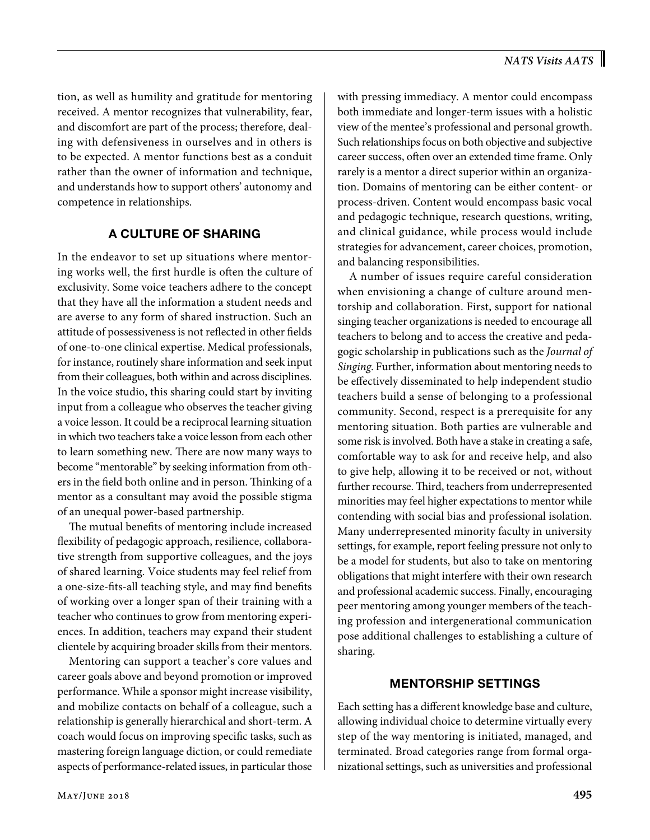tion, as well as humility and gratitude for mentoring received. A mentor recognizes that vulnerability, fear, and discomfort are part of the process; therefore, dealing with defensiveness in ourselves and in others is to be expected. A mentor functions best as a conduit rather than the owner of information and technique, and understands how to support others' autonomy and competence in relationships.

# A CULTURE OF SHARING

In the endeavor to set up situations where mentoring works well, the first hurdle is often the culture of exclusivity. Some voice teachers adhere to the concept that they have all the information a student needs and are averse to any form of shared instruction. Such an attitude of possessiveness is not reflected in other fields of one-to-one clinical expertise. Medical professionals, for instance, routinely share information and seek input from their colleagues, both within and across disciplines. In the voice studio, this sharing could start by inviting input from a colleague who observes the teacher giving a voice lesson. It could be a reciprocal learning situation in which two teachers take a voice lesson from each other to learn something new. There are now many ways to become "mentorable" by seeking information from others in the field both online and in person. Thinking of a mentor as a consultant may avoid the possible stigma of an unequal power-based partnership.

The mutual benefits of mentoring include increased flexibility of pedagogic approach, resilience, collaborative strength from supportive colleagues, and the joys of shared learning. Voice students may feel relief from a one-size-fits-all teaching style, and may find benefits of working over a longer span of their training with a teacher who continues to grow from mentoring experiences. In addition, teachers may expand their student clientele by acquiring broader skills from their mentors.

Mentoring can support a teacher's core values and career goals above and beyond promotion or improved performance. While a sponsor might increase visibility, and mobilize contacts on behalf of a colleague, such a relationship is generally hierarchical and short-term. A coach would focus on improving specific tasks, such as mastering foreign language diction, or could remediate aspects of performance-related issues, in particular those with pressing immediacy. A mentor could encompass both immediate and longer-term issues with a holistic view of the mentee's professional and personal growth. Such relationships focus on both objective and subjective career success, often over an extended time frame. Only rarely is a mentor a direct superior within an organization. Domains of mentoring can be either content- or process-driven. Content would encompass basic vocal and pedagogic technique, research questions, writing, and clinical guidance, while process would include strategies for advancement, career choices, promotion, and balancing responsibilities.

A number of issues require careful consideration when envisioning a change of culture around mentorship and collaboration. First, support for national singing teacher organizations is needed to encourage all teachers to belong and to access the creative and pedagogic scholarship in publications such as the *Journal of Singing*. Further, information about mentoring needs to be effectively disseminated to help independent studio teachers build a sense of belonging to a professional community. Second, respect is a prerequisite for any mentoring situation. Both parties are vulnerable and some risk is involved. Both have a stake in creating a safe, comfortable way to ask for and receive help, and also to give help, allowing it to be received or not, without further recourse. Third, teachers from underrepresented minorities may feel higher expectations to mentor while contending with social bias and professional isolation. Many underrepresented minority faculty in university settings, for example, report feeling pressure not only to be a model for students, but also to take on mentoring obligations that might interfere with their own research and professional academic success. Finally, encouraging peer mentoring among younger members of the teaching profession and intergenerational communication pose additional challenges to establishing a culture of sharing.

### MENTORSHIP SETTINGS

Each setting has a different knowledge base and culture, allowing individual choice to determine virtually every step of the way mentoring is initiated, managed, and terminated. Broad categories range from formal organizational settings, such as universities and professional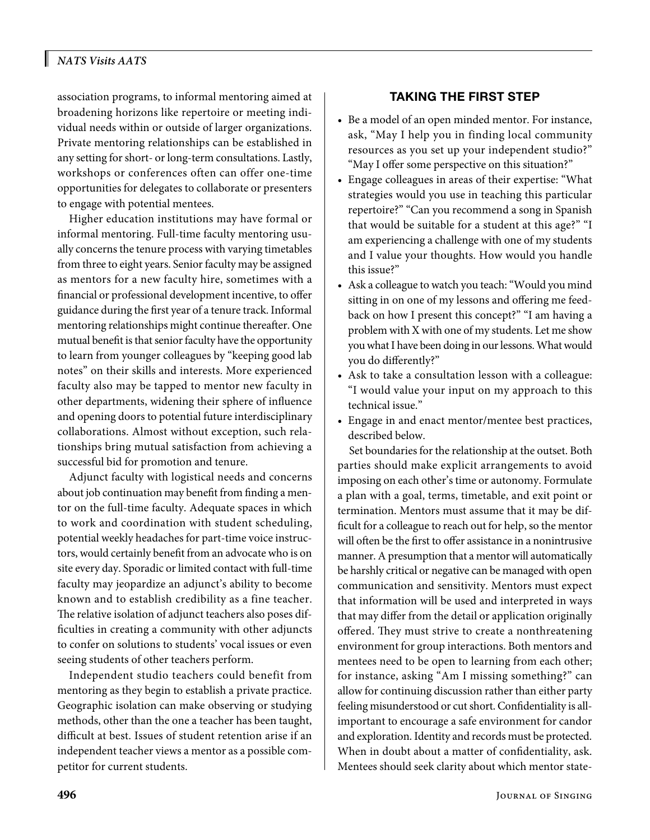# *NATS Visits AATS*

association programs, to informal mentoring aimed at broadening horizons like repertoire or meeting individual needs within or outside of larger organizations. Private mentoring relationships can be established in any setting for short- or long-term consultations. Lastly, workshops or conferences often can offer one-time opportunities for delegates to collaborate or presenters to engage with potential mentees.

Higher education institutions may have formal or informal mentoring. Full-time faculty mentoring usually concerns the tenure process with varying timetables from three to eight years. Senior faculty may be assigned as mentors for a new faculty hire, sometimes with a financial or professional development incentive, to offer guidance during the first year of a tenure track. Informal mentoring relationships might continue thereafter. One mutual benefit is that senior faculty have the opportunity to learn from younger colleagues by "keeping good lab notes" on their skills and interests. More experienced faculty also may be tapped to mentor new faculty in other departments, widening their sphere of influence and opening doors to potential future interdisciplinary collaborations. Almost without exception, such relationships bring mutual satisfaction from achieving a successful bid for promotion and tenure.

Adjunct faculty with logistical needs and concerns about job continuation may benefit from finding a mentor on the full-time faculty. Adequate spaces in which to work and coordination with student scheduling, potential weekly headaches for part-time voice instructors, would certainly benefit from an advocate who is on site every day. Sporadic or limited contact with full-time faculty may jeopardize an adjunct's ability to become known and to establish credibility as a fine teacher. The relative isolation of adjunct teachers also poses difficulties in creating a community with other adjuncts to confer on solutions to students' vocal issues or even seeing students of other teachers perform.

Independent studio teachers could benefit from mentoring as they begin to establish a private practice. Geographic isolation can make observing or studying methods, other than the one a teacher has been taught, difficult at best. Issues of student retention arise if an independent teacher views a mentor as a possible competitor for current students.

#### TAKING THE FIRST STEP

- Be a model of an open minded mentor. For instance, ask, "May I help you in finding local community resources as you set up your independent studio?" "May I offer some perspective on this situation?"
- Engage colleagues in areas of their expertise: "What strategies would you use in teaching this particular repertoire?" "Can you recommend a song in Spanish that would be suitable for a student at this age?" "I am experiencing a challenge with one of my students and I value your thoughts. How would you handle this issue?"
- Ask a colleague to watch you teach: "Would you mind sitting in on one of my lessons and offering me feedback on how I present this concept?" "I am having a problem with X with one of my students. Let me show you what I have been doing in our lessons. What would you do differently?"
- Ask to take a consultation lesson with a colleague: "I would value your input on my approach to this technical issue."
- Engage in and enact mentor/mentee best practices, described below.

Set boundaries for the relationship at the outset. Both parties should make explicit arrangements to avoid imposing on each other's time or autonomy. Formulate a plan with a goal, terms, timetable, and exit point or termination. Mentors must assume that it may be difficult for a colleague to reach out for help, so the mentor will often be the first to offer assistance in a nonintrusive manner. A presumption that a mentor will automatically be harshly critical or negative can be managed with open communication and sensitivity. Mentors must expect that information will be used and interpreted in ways that may differ from the detail or application originally offered. They must strive to create a nonthreatening environment for group interactions. Both mentors and mentees need to be open to learning from each other; for instance, asking "Am I missing something?" can allow for continuing discussion rather than either party feeling misunderstood or cut short. Confidentiality is allimportant to encourage a safe environment for candor and exploration. Identity and records must be protected. When in doubt about a matter of confidentiality, ask. Mentees should seek clarity about which mentor state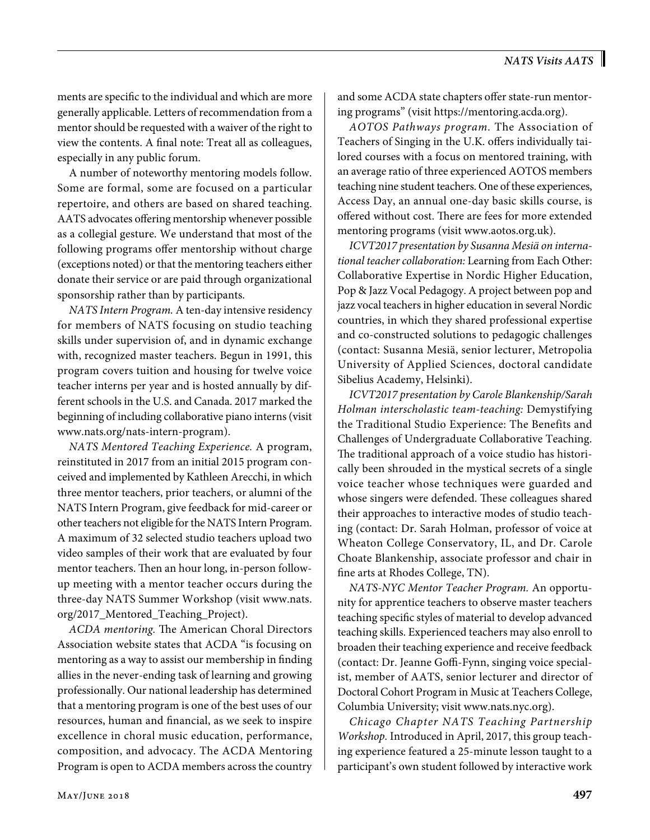ments are specific to the individual and which are more generally applicable. Letters of recommendation from a mentor should be requested with a waiver of the right to view the contents. A final note: Treat all as colleagues, especially in any public forum.

A number of noteworthy mentoring models follow. Some are formal, some are focused on a particular repertoire, and others are based on shared teaching. AATS advocates offering mentorship whenever possible as a collegial gesture. We understand that most of the following programs offer mentorship without charge (exceptions noted) or that the mentoring teachers either donate their service or are paid through organizational sponsorship rather than by participants.

*NATS Intern Program.* A ten-day intensive residency for members of NATS focusing on studio teaching skills under supervision of, and in dynamic exchange with, recognized master teachers. Begun in 1991, this program covers tuition and housing for twelve voice teacher interns per year and is hosted annually by different schools in the U.S. and Canada. 2017 marked the beginning of including collaborative piano interns (visit [www.nats.org/nats-intern-program\)](http://www.nats.org/nats-intern-program).

*NATS Mentored Teaching Experience.* A program, reinstituted in 2017 from an initial 2015 program conceived and implemented by Kathleen Arecchi, in which three mentor teachers, prior teachers, or alumni of the NATS Intern Program, give feedback for mid-career or other teachers not eligible for the NATS Intern Program. A maximum of 32 selected studio teachers upload two video samples of their work that are evaluated by four mentor teachers. Then an hour long, in-person followup meeting with a mentor teacher occurs during the three-day NATS Summer Workshop (visit [www.nats.](http://www.nats.org/2017_Mentored_Teaching_Project) [org/2017\\_Mentored\\_Teaching\\_Project](http://www.nats.org/2017_Mentored_Teaching_Project)).

*ACDA mentoring.* The American Choral Directors Association website states that ACDA "is focusing on mentoring as a way to assist our membership in finding allies in the never-ending task of learning and growing professionally. Our national leadership has determined that a mentoring program is one of the best uses of our resources, human and financial, as we seek to inspire excellence in choral music education, performance, composition, and advocacy. The ACDA Mentoring Program is open to ACDA members across the country

and some ACDA state chapters offer state-run mentoring programs" (visit [https://mentoring.acda.org\)](https://mentoring.acda.org).

*AOTOS Pathways program.* The Association of Teachers of Singing in the U.K. offers individually tailored courses with a focus on mentored training, with an average ratio of three experienced AOTOS members teaching nine student teachers. One of these experiences, Access Day, an annual one-day basic skills course, is offered without cost. There are fees for more extended mentoring programs (visit [www.aotos.org.uk](http://www.aotos.org.uk)).

*ICVT2017 presentation by Susanna Mesiä on international teacher collaboration:* Learning from Each Other: Collaborative Expertise in Nordic Higher Education, Pop & Jazz Vocal Pedagogy. A project between pop and jazz vocal teachers in higher education in several Nordic countries, in which they shared professional expertise and co-constructed solutions to pedagogic challenges (contact: Susanna Mesiä, senior lecturer, Metropolia University of Applied Sciences, doctoral candidate Sibelius Academy, Helsinki).

*ICVT2017 presentation by Carole Blankenship/Sarah Holman interscholastic team-teaching:* Demystifying the Traditional Studio Experience: The Benefits and Challenges of Undergraduate Collaborative Teaching. The traditional approach of a voice studio has historically been shrouded in the mystical secrets of a single voice teacher whose techniques were guarded and whose singers were defended. These colleagues shared their approaches to interactive modes of studio teaching (contact: Dr. Sarah Holman, professor of voice at Wheaton College Conservatory, IL, and Dr. Carole Choate Blankenship, associate professor and chair in fine arts at Rhodes College, TN).

*NATS-NYC Mentor Teacher Program.* An opportunity for apprentice teachers to observe master teachers teaching specific styles of material to develop advanced teaching skills. Experienced teachers may also enroll to broaden their teaching experience and receive feedback (contact: Dr. Jeanne Goffi-Fynn, singing voice specialist, member of AATS, senior lecturer and director of Doctoral Cohort Program in Music at Teachers College, Columbia University; visit [www.nats.nyc.org](http://www.nats.nyc.org)).

*Chicago Chapter NATS Teaching Partnership Workshop.* Introduced in April, 2017, this group teaching experience featured a 25-minute lesson taught to a participant's own student followed by interactive work